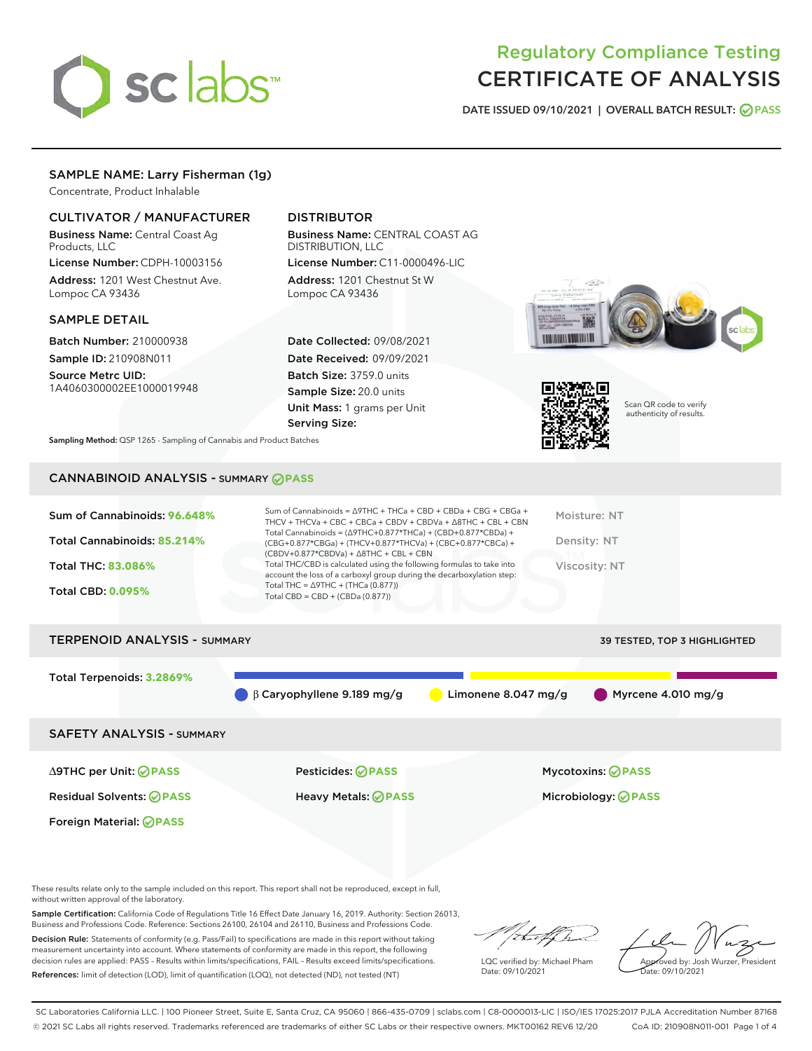

# Regulatory Compliance Testing CERTIFICATE OF ANALYSIS

DATE ISSUED 09/10/2021 | OVERALL BATCH RESULT: @ PASS

# SAMPLE NAME: Larry Fisherman (1g)

Concentrate, Product Inhalable

# CULTIVATOR / MANUFACTURER

Business Name: Central Coast Ag Products, LLC

License Number: CDPH-10003156 Address: 1201 West Chestnut Ave. Lompoc CA 93436

#### SAMPLE DETAIL

Batch Number: 210000938 Sample ID: 210908N011

Source Metrc UID: 1A4060300002EE1000019948

# DISTRIBUTOR

Business Name: CENTRAL COAST AG DISTRIBUTION, LLC License Number: C11-0000496-LIC

Address: 1201 Chestnut St W Lompoc CA 93436

Date Collected: 09/08/2021 Date Received: 09/09/2021 Batch Size: 3759.0 units Sample Size: 20.0 units Unit Mass: 1 grams per Unit Serving Size:





Scan QR code to verify authenticity of results.

Sampling Method: QSP 1265 - Sampling of Cannabis and Product Batches

# CANNABINOID ANALYSIS - SUMMARY **PASS**

| Sum of Cannabinoids: 96.648%<br>Total Cannabinoids: 85.214%<br><b>Total THC: 83.086%</b><br><b>Total CBD: 0.095%</b> | Sum of Cannabinoids = $\triangle$ 9THC + THCa + CBD + CBDa + CBG + CBGa +<br>THCV + THCVa + CBC + CBCa + CBDV + CBDVa + $\Delta$ 8THC + CBL + CBN<br>Total Cannabinoids = $(\Delta 9THC+0.877*THCa) + (CBD+0.877*CBDa) +$<br>(CBG+0.877*CBGa) + (THCV+0.877*THCVa) + (CBC+0.877*CBCa) +<br>$(CBDV+0.877*CBDVa) + \Delta 8THC + CBL + CBN$<br>Total THC/CBD is calculated using the following formulas to take into<br>account the loss of a carboxyl group during the decarboxylation step:<br>Total THC = $\triangle$ 9THC + (THCa (0.877))<br>Total CBD = $CBD + (CBDa (0.877))$ | Moisture: NT<br>Density: NT<br>Viscosity: NT |
|----------------------------------------------------------------------------------------------------------------------|------------------------------------------------------------------------------------------------------------------------------------------------------------------------------------------------------------------------------------------------------------------------------------------------------------------------------------------------------------------------------------------------------------------------------------------------------------------------------------------------------------------------------------------------------------------------------------|----------------------------------------------|
| <b>TERPENOID ANALYSIS - SUMMARY</b>                                                                                  |                                                                                                                                                                                                                                                                                                                                                                                                                                                                                                                                                                                    | 39 TESTED, TOP 3 HIGHLIGHTED                 |
| Total Terpenoids: 3.2869%                                                                                            | B Carvophyllene 9.189 mg/g<br>Limonene 8.047 mg/g                                                                                                                                                                                                                                                                                                                                                                                                                                                                                                                                  | Myrcene 4.010 mg/g                           |

SAFETY ANALYSIS - SUMMARY

∆9THC per Unit: **PASS** Pesticides: **PASS** Mycotoxins: **PASS**

Foreign Material: **PASS**

Residual Solvents: **PASS** Heavy Metals: **PASS** Microbiology: **PASS**

These results relate only to the sample included on this report. This report shall not be reproduced, except in full, without written approval of the laboratory.

Sample Certification: California Code of Regulations Title 16 Effect Date January 16, 2019. Authority: Section 26013, Business and Professions Code. Reference: Sections 26100, 26104 and 26110, Business and Professions Code.

Decision Rule: Statements of conformity (e.g. Pass/Fail) to specifications are made in this report without taking measurement uncertainty into account. Where statements of conformity are made in this report, the following decision rules are applied: PASS – Results within limits/specifications, FAIL – Results exceed limits/specifications. References: limit of detection (LOD), limit of quantification (LOQ), not detected (ND), not tested (NT)

LQC verified by: Michael Pham Date: 09/10/2021

Approved by: Josh Wurzer, President ate: 09/10/2021

SC Laboratories California LLC. | 100 Pioneer Street, Suite E, Santa Cruz, CA 95060 | 866-435-0709 | sclabs.com | C8-0000013-LIC | ISO/IES 17025:2017 PJLA Accreditation Number 87168 © 2021 SC Labs all rights reserved. Trademarks referenced are trademarks of either SC Labs or their respective owners. MKT00162 REV6 12/20 CoA ID: 210908N011-001 Page 1 of 4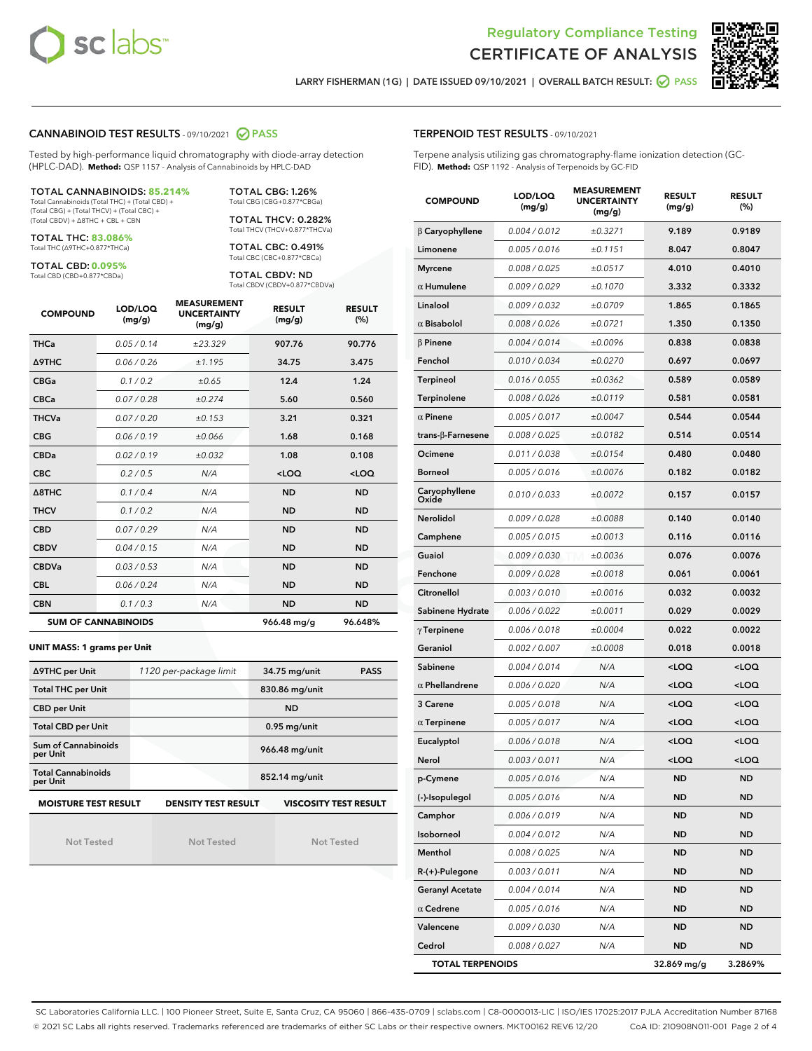



LARRY FISHERMAN (1G) | DATE ISSUED 09/10/2021 | OVERALL BATCH RESULT: 2 PASS

#### CANNABINOID TEST RESULTS - 09/10/2021 2 PASS

Tested by high-performance liquid chromatography with diode-array detection (HPLC-DAD). **Method:** QSP 1157 - Analysis of Cannabinoids by HPLC-DAD

#### TOTAL CANNABINOIDS: **85.214%**

Total Cannabinoids (Total THC) + (Total CBD) + (Total CBG) + (Total THCV) + (Total CBC) + (Total CBDV) + ∆8THC + CBL + CBN

TOTAL THC: **83.086%** Total THC (∆9THC+0.877\*THCa)

TOTAL CBD: **0.095%**

Total CBD (CBD+0.877\*CBDa)

TOTAL CBG: 1.26% Total CBG (CBG+0.877\*CBGa)

TOTAL THCV: 0.282% Total THCV (THCV+0.877\*THCVa)

TOTAL CBC: 0.491% Total CBC (CBC+0.877\*CBCa)

TOTAL CBDV: ND Total CBDV (CBDV+0.877\*CBDVa)

| <b>COMPOUND</b>  | LOD/LOQ<br>(mg/g)          | <b>MEASUREMENT</b><br><b>UNCERTAINTY</b><br>(mg/g) | <b>RESULT</b><br>(mg/g) | <b>RESULT</b><br>(%) |
|------------------|----------------------------|----------------------------------------------------|-------------------------|----------------------|
| <b>THCa</b>      | 0.05/0.14                  | ±23.329                                            | 907.76                  | 90.776               |
| <b>A9THC</b>     | 0.06 / 0.26                | ±1.195                                             | 34.75                   | 3.475                |
| <b>CBGa</b>      | 0.1 / 0.2                  | ±0.65                                              | 12.4                    | 1.24                 |
| <b>CBCa</b>      | 0.07/0.28                  | ±0.274                                             | 5.60                    | 0.560                |
| <b>THCVa</b>     | 0.07/0.20                  | ±0.153                                             | 3.21                    | 0.321                |
| <b>CBG</b>       | 0.06/0.19                  | ±0.066                                             | 1.68                    | 0.168                |
| <b>CBDa</b>      | 0.02/0.19                  | ±0.032                                             | 1.08                    | 0.108                |
| <b>CBC</b>       | 0.2 / 0.5                  | N/A                                                | $<$ LOQ                 | $<$ LOQ              |
| $\triangle$ 8THC | 0.1/0.4                    | N/A                                                | <b>ND</b>               | <b>ND</b>            |
| <b>THCV</b>      | 0.1/0.2                    | N/A                                                | <b>ND</b>               | <b>ND</b>            |
| <b>CBD</b>       | 0.07/0.29                  | N/A                                                | <b>ND</b>               | <b>ND</b>            |
| <b>CBDV</b>      | 0.04 / 0.15                | N/A                                                | <b>ND</b>               | <b>ND</b>            |
| <b>CBDVa</b>     | 0.03/0.53                  | N/A                                                | <b>ND</b>               | <b>ND</b>            |
| <b>CBL</b>       | 0.06 / 0.24                | N/A                                                | <b>ND</b>               | <b>ND</b>            |
| <b>CBN</b>       | 0.1/0.3                    | N/A                                                | <b>ND</b>               | <b>ND</b>            |
|                  | <b>SUM OF CANNABINOIDS</b> |                                                    | 966.48 mg/g             | 96.648%              |

#### **UNIT MASS: 1 grams per Unit**

| ∆9THC per Unit                        | 1120 per-package limit     | <b>PASS</b><br>34.75 mg/unit |  |  |
|---------------------------------------|----------------------------|------------------------------|--|--|
| <b>Total THC per Unit</b>             |                            | 830.86 mg/unit               |  |  |
| <b>CBD</b> per Unit                   |                            | <b>ND</b>                    |  |  |
| <b>Total CBD per Unit</b>             |                            | $0.95$ mg/unit               |  |  |
| Sum of Cannabinoids<br>per Unit       |                            | 966.48 mg/unit               |  |  |
| <b>Total Cannabinoids</b><br>per Unit |                            | 852.14 mg/unit               |  |  |
| <b>MOISTURE TEST RESULT</b>           | <b>DENSITY TEST RESULT</b> | <b>VISCOSITY TEST RESULT</b> |  |  |

Not Tested

Not Tested

Not Tested

#### TERPENOID TEST RESULTS - 09/10/2021

Terpene analysis utilizing gas chromatography-flame ionization detection (GC-FID). **Method:** QSP 1192 - Analysis of Terpenoids by GC-FID

| <b>COMPOUND</b>           | LOD/LOQ<br>(mg/g) | <b>MEASUREMENT</b><br><b>UNCERTAINTY</b><br>(mg/g) | <b>RESULT</b><br>(mg/g)                          | <b>RESULT</b><br>(%) |
|---------------------------|-------------------|----------------------------------------------------|--------------------------------------------------|----------------------|
| $\beta$ Caryophyllene     | 0.004 / 0.012     | ±0.3271                                            | 9.189                                            | 0.9189               |
| Limonene                  | 0.005 / 0.016     | ±0.1151                                            | 8.047                                            | 0.8047               |
| <b>Myrcene</b>            | 0.008 / 0.025     | ±0.0517                                            | 4.010                                            | 0.4010               |
| $\alpha$ Humulene         | 0.009 / 0.029     | ±0.1070                                            | 3.332                                            | 0.3332               |
| Linalool                  | 0.009 / 0.032     | ±0.0709                                            | 1.865                                            | 0.1865               |
| $\alpha$ Bisabolol        | 0.008 / 0.026     | ±0.0721                                            | 1.350                                            | 0.1350               |
| $\beta$ Pinene            | 0.004 / 0.014     | ±0.0096                                            | 0.838                                            | 0.0838               |
| Fenchol                   | 0.010 / 0.034     | ±0.0270                                            | 0.697                                            | 0.0697               |
| <b>Terpineol</b>          | 0.016 / 0.055     | ±0.0362                                            | 0.589                                            | 0.0589               |
| <b>Terpinolene</b>        | 0.008 / 0.026     | ±0.0119                                            | 0.581                                            | 0.0581               |
| $\alpha$ Pinene           | 0.005 / 0.017     | ±0.0047                                            | 0.544                                            | 0.0544               |
| trans- $\beta$ -Farnesene | 0.008 / 0.025     | ±0.0182                                            | 0.514                                            | 0.0514               |
| Ocimene                   | 0.011 / 0.038     | ±0.0154                                            | 0.480                                            | 0.0480               |
| <b>Borneol</b>            | 0.005 / 0.016     | ±0.0076                                            | 0.182                                            | 0.0182               |
| Caryophyllene<br>Oxide    | 0.010 / 0.033     | ±0.0072                                            | 0.157                                            | 0.0157               |
| Nerolidol                 | 0.009 / 0.028     | ±0.0088                                            | 0.140                                            | 0.0140               |
| Camphene                  | 0.005 / 0.015     | ±0.0013                                            | 0.116                                            | 0.0116               |
| Guaiol                    | 0.009 / 0.030     | ±0.0036                                            | 0.076                                            | 0.0076               |
| Fenchone                  | 0.009 / 0.028     | ±0.0018                                            | 0.061                                            | 0.0061               |
| Citronellol               | 0.003 / 0.010     | ±0.0016                                            | 0.032                                            | 0.0032               |
| Sabinene Hydrate          | 0.006 / 0.022     | ±0.0011                                            | 0.029                                            | 0.0029               |
| $\gamma$ Terpinene        | 0.006 / 0.018     | ±0.0004                                            | 0.022                                            | 0.0022               |
| Geraniol                  | 0.002 / 0.007     | ±0.0008                                            | 0.018                                            | 0.0018               |
| Sabinene                  | 0.004 / 0.014     | N/A                                                | <loq< th=""><th><math>&lt;</math>LOQ</th></loq<> | $<$ LOQ              |
| $\alpha$ Phellandrene     | 0.006 / 0.020     | N/A                                                | <loq< th=""><th><loq< th=""></loq<></th></loq<>  | <loq< th=""></loq<>  |
| 3 Carene                  | 0.005 / 0.018     | N/A                                                | <loq< th=""><th><loq< th=""></loq<></th></loq<>  | <loq< th=""></loq<>  |
| $\alpha$ Terpinene        | 0.005 / 0.017     | N/A                                                | <loq< th=""><th><loq< th=""></loq<></th></loq<>  | <loq< th=""></loq<>  |
| Eucalyptol                | 0.006 / 0.018     | N/A                                                | <loq< th=""><th><loq< th=""></loq<></th></loq<>  | <loq< th=""></loq<>  |
| Nerol                     | 0.003 / 0.011     | N/A                                                | <loq< th=""><th><loq< th=""></loq<></th></loq<>  | <loq< th=""></loq<>  |
| p-Cymene                  | 0.005 / 0.016     | N/A                                                | <b>ND</b>                                        | <b>ND</b>            |
| (-)-Isopulegol            | 0.005 / 0.016     | N/A                                                | ND                                               | ND                   |
| Camphor                   | 0.006 / 0.019     | N/A                                                | ND                                               | ND                   |
| Isoborneol                | 0.004 / 0.012     | N/A                                                | <b>ND</b>                                        | ND                   |
| Menthol                   | 0.008 / 0.025     | N/A                                                | <b>ND</b>                                        | <b>ND</b>            |
| R-(+)-Pulegone            | 0.003 / 0.011     | N/A                                                | ND                                               | ND                   |
| <b>Geranyl Acetate</b>    | 0.004 / 0.014     | N/A                                                | <b>ND</b>                                        | ND                   |
| $\alpha$ Cedrene          | 0.005 / 0.016     | N/A                                                | <b>ND</b>                                        | <b>ND</b>            |
| Valencene                 | 0.009 / 0.030     | N/A                                                | ND                                               | ND                   |
| Cedrol                    | 0.008 / 0.027     | N/A                                                | <b>ND</b>                                        | ND                   |
| <b>TOTAL TERPENOIDS</b>   |                   | 32.869 mg/g                                        | 3.2869%                                          |                      |

SC Laboratories California LLC. | 100 Pioneer Street, Suite E, Santa Cruz, CA 95060 | 866-435-0709 | sclabs.com | C8-0000013-LIC | ISO/IES 17025:2017 PJLA Accreditation Number 87168 © 2021 SC Labs all rights reserved. Trademarks referenced are trademarks of either SC Labs or their respective owners. MKT00162 REV6 12/20 CoA ID: 210908N011-001 Page 2 of 4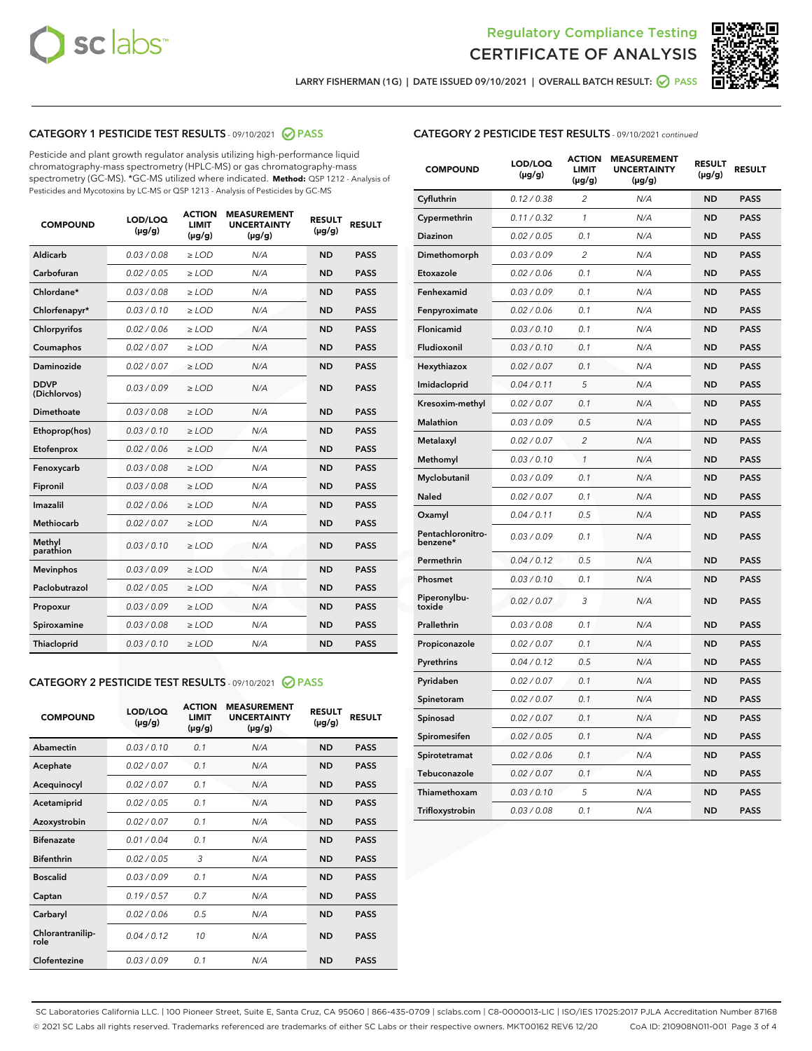



LARRY FISHERMAN (1G) | DATE ISSUED 09/10/2021 | OVERALL BATCH RESULT: @ PASS

# CATEGORY 1 PESTICIDE TEST RESULTS - 09/10/2021 2 PASS

Pesticide and plant growth regulator analysis utilizing high-performance liquid chromatography-mass spectrometry (HPLC-MS) or gas chromatography-mass spectrometry (GC-MS). \*GC-MS utilized where indicated. **Method:** QSP 1212 - Analysis of Pesticides and Mycotoxins by LC-MS or QSP 1213 - Analysis of Pesticides by GC-MS

| <b>COMPOUND</b>             | LOD/LOQ<br>$(\mu g/g)$ | <b>ACTION</b><br><b>LIMIT</b><br>$(\mu g/g)$ | <b>MEASUREMENT</b><br><b>UNCERTAINTY</b><br>$(\mu g/g)$ | <b>RESULT</b><br>$(\mu g/g)$ | <b>RESULT</b> |
|-----------------------------|------------------------|----------------------------------------------|---------------------------------------------------------|------------------------------|---------------|
| Aldicarb                    | 0.03/0.08              | $>$ LOD                                      | N/A                                                     | <b>ND</b>                    | <b>PASS</b>   |
| Carbofuran                  | 0.02 / 0.05            | $\ge$ LOD                                    | N/A                                                     | <b>ND</b>                    | <b>PASS</b>   |
| Chlordane*                  | 0.03/0.08              | $>$ LOD                                      | N/A                                                     | <b>ND</b>                    | <b>PASS</b>   |
| Chlorfenapyr*               | 0.03/0.10              | $\ge$ LOD                                    | N/A                                                     | <b>ND</b>                    | <b>PASS</b>   |
| Chlorpyrifos                | 0.02 / 0.06            | $\ge$ LOD                                    | N/A                                                     | <b>ND</b>                    | <b>PASS</b>   |
| Coumaphos                   | 0.02 / 0.07            | $\ge$ LOD                                    | N/A                                                     | <b>ND</b>                    | <b>PASS</b>   |
| Daminozide                  | 0.02 / 0.07            | $\ge$ LOD                                    | N/A                                                     | <b>ND</b>                    | <b>PASS</b>   |
| <b>DDVP</b><br>(Dichlorvos) | 0.03/0.09              | $\ge$ LOD                                    | N/A                                                     | <b>ND</b>                    | <b>PASS</b>   |
| <b>Dimethoate</b>           | 0.03/0.08              | $\ge$ LOD                                    | N/A                                                     | <b>ND</b>                    | <b>PASS</b>   |
| Ethoprop(hos)               | 0.03/0.10              | $\ge$ LOD                                    | N/A                                                     | <b>ND</b>                    | <b>PASS</b>   |
| Etofenprox                  | 0.02 / 0.06            | $\ge$ LOD                                    | N/A                                                     | <b>ND</b>                    | <b>PASS</b>   |
| Fenoxycarb                  | 0.03/0.08              | $\ge$ LOD                                    | N/A                                                     | <b>ND</b>                    | <b>PASS</b>   |
| Fipronil                    | 0.03/0.08              | $>$ LOD                                      | N/A                                                     | <b>ND</b>                    | <b>PASS</b>   |
| Imazalil                    | 0.02 / 0.06            | $>$ LOD                                      | N/A                                                     | <b>ND</b>                    | <b>PASS</b>   |
| <b>Methiocarb</b>           | 0.02 / 0.07            | $\ge$ LOD                                    | N/A                                                     | <b>ND</b>                    | <b>PASS</b>   |
| Methyl<br>parathion         | 0.03/0.10              | $\ge$ LOD                                    | N/A                                                     | <b>ND</b>                    | <b>PASS</b>   |
| <b>Mevinphos</b>            | 0.03/0.09              | $\ge$ LOD                                    | N/A                                                     | <b>ND</b>                    | <b>PASS</b>   |
| Paclobutrazol               | 0.02 / 0.05            | $>$ LOD                                      | N/A                                                     | <b>ND</b>                    | <b>PASS</b>   |
| Propoxur                    | 0.03/0.09              | $\ge$ LOD                                    | N/A                                                     | <b>ND</b>                    | <b>PASS</b>   |
| Spiroxamine                 | 0.03/0.08              | $\ge$ LOD                                    | N/A                                                     | <b>ND</b>                    | <b>PASS</b>   |
| Thiacloprid                 | 0.03/0.10              | $\ge$ LOD                                    | N/A                                                     | <b>ND</b>                    | <b>PASS</b>   |

#### CATEGORY 2 PESTICIDE TEST RESULTS - 09/10/2021 @ PASS

| <b>COMPOUND</b>          | LOD/LOQ<br>$(\mu g/g)$ | <b>ACTION</b><br><b>LIMIT</b><br>$(\mu g/g)$ | <b>MEASUREMENT</b><br><b>UNCERTAINTY</b><br>$(\mu g/g)$ | <b>RESULT</b><br>$(\mu g/g)$ | <b>RESULT</b> |
|--------------------------|------------------------|----------------------------------------------|---------------------------------------------------------|------------------------------|---------------|
| Abamectin                | 0.03/0.10              | 0.1                                          | N/A                                                     | <b>ND</b>                    | <b>PASS</b>   |
| Acephate                 | 0.02/0.07              | 0.1                                          | N/A                                                     | <b>ND</b>                    | <b>PASS</b>   |
| Acequinocyl              | 0.02/0.07              | 0.1                                          | N/A                                                     | <b>ND</b>                    | <b>PASS</b>   |
| Acetamiprid              | 0.02/0.05              | 0.1                                          | N/A                                                     | <b>ND</b>                    | <b>PASS</b>   |
| Azoxystrobin             | 0.02/0.07              | 0.1                                          | N/A                                                     | <b>ND</b>                    | <b>PASS</b>   |
| <b>Bifenazate</b>        | 0.01/0.04              | 0.1                                          | N/A                                                     | <b>ND</b>                    | <b>PASS</b>   |
| <b>Bifenthrin</b>        | 0.02/0.05              | 3                                            | N/A                                                     | <b>ND</b>                    | <b>PASS</b>   |
| <b>Boscalid</b>          | 0.03/0.09              | 0.1                                          | N/A                                                     | <b>ND</b>                    | <b>PASS</b>   |
| Captan                   | 0.19/0.57              | 0.7                                          | N/A                                                     | <b>ND</b>                    | <b>PASS</b>   |
| Carbaryl                 | 0.02/0.06              | 0.5                                          | N/A                                                     | <b>ND</b>                    | <b>PASS</b>   |
| Chlorantranilip-<br>role | 0.04/0.12              | 10                                           | N/A                                                     | <b>ND</b>                    | <b>PASS</b>   |
| Clofentezine             | 0.03/0.09              | 0.1                                          | N/A                                                     | <b>ND</b>                    | <b>PASS</b>   |

| <b>CATEGORY 2 PESTICIDE TEST RESULTS</b> - 09/10/2021 continued |
|-----------------------------------------------------------------|
|-----------------------------------------------------------------|

| <b>COMPOUND</b>               | LOD/LOQ<br>$(\mu g/g)$ | <b>ACTION</b><br>LIMIT<br>$(\mu g/g)$ | <b>MEASUREMENT</b><br><b>UNCERTAINTY</b><br>$(\mu g/g)$ | <b>RESULT</b><br>(µg/g) | <b>RESULT</b> |
|-------------------------------|------------------------|---------------------------------------|---------------------------------------------------------|-------------------------|---------------|
| Cyfluthrin                    | 0.12 / 0.38            | $\overline{\mathcal{L}}$              | N/A                                                     | ND                      | <b>PASS</b>   |
| Cypermethrin                  | 0.11 / 0.32            | 1                                     | N/A                                                     | ND                      | <b>PASS</b>   |
| Diazinon                      | 0.02 / 0.05            | 0.1                                   | N/A                                                     | ND                      | PASS          |
| Dimethomorph                  | 0.03 / 0.09            | $\overline{2}$                        | N/A                                                     | <b>ND</b>               | <b>PASS</b>   |
| Etoxazole                     | 0.02 / 0.06            | 0.1                                   | N/A                                                     | ND                      | <b>PASS</b>   |
| Fenhexamid                    | 0.03 / 0.09            | 0.1                                   | N/A                                                     | ND                      | <b>PASS</b>   |
| Fenpyroximate                 | 0.02 / 0.06            | 0.1                                   | N/A                                                     | <b>ND</b>               | <b>PASS</b>   |
| Flonicamid                    | 0.03 / 0.10            | 0.1                                   | N/A                                                     | <b>ND</b>               | <b>PASS</b>   |
| Fludioxonil                   | 0.03 / 0.10            | 0.1                                   | N/A                                                     | <b>ND</b>               | <b>PASS</b>   |
| Hexythiazox                   | 0.02 / 0.07            | 0.1                                   | N/A                                                     | <b>ND</b>               | <b>PASS</b>   |
| Imidacloprid                  | 0.04 / 0.11            | 5                                     | N/A                                                     | <b>ND</b>               | <b>PASS</b>   |
| Kresoxim-methyl               | 0.02 / 0.07            | 0.1                                   | N/A                                                     | ND                      | <b>PASS</b>   |
| <b>Malathion</b>              | 0.03 / 0.09            | 0.5                                   | N/A                                                     | <b>ND</b>               | <b>PASS</b>   |
| Metalaxyl                     | 0.02 / 0.07            | $\overline{2}$                        | N/A                                                     | <b>ND</b>               | <b>PASS</b>   |
| Methomyl                      | 0.03 / 0.10            | $\mathbf{1}$                          | N/A                                                     | <b>ND</b>               | PASS          |
| Myclobutanil                  | 0.03 / 0.09            | 0.1                                   | N/A                                                     | <b>ND</b>               | <b>PASS</b>   |
| Naled                         | 0.02 / 0.07            | 0.1                                   | N/A                                                     | ND                      | <b>PASS</b>   |
| Oxamyl                        | 0.04 / 0.11            | 0.5                                   | N/A                                                     | ND                      | <b>PASS</b>   |
| Pentachloronitro-<br>benzene* | 0.03 / 0.09            | 0.1                                   | N/A                                                     | ND                      | <b>PASS</b>   |
| Permethrin                    | 0.04/0.12              | 0.5                                   | N/A                                                     | ND                      | <b>PASS</b>   |
| Phosmet                       | 0.03 / 0.10            | 0.1                                   | N/A                                                     | <b>ND</b>               | <b>PASS</b>   |
| Piperonylbu-<br>toxide        | 0.02 / 0.07            | 3                                     | N/A                                                     | <b>ND</b>               | <b>PASS</b>   |
| Prallethrin                   | 0.03 / 0.08            | 0.1                                   | N/A                                                     | ND                      | <b>PASS</b>   |
| Propiconazole                 | 0.02 / 0.07            | 0.1                                   | N/A                                                     | <b>ND</b>               | <b>PASS</b>   |
| Pyrethrins                    | 0.04 / 0.12            | 0.5                                   | N/A                                                     | <b>ND</b>               | <b>PASS</b>   |
| Pyridaben                     | 0.02 / 0.07            | 0.1                                   | N/A                                                     | ND                      | PASS          |
| Spinetoram                    | 0.02 / 0.07            | 0.1                                   | N/A                                                     | ND                      | PASS          |
| Spinosad                      | 0.02 / 0.07            | 0.1                                   | N/A                                                     | ND                      | <b>PASS</b>   |
| Spiromesifen                  | 0.02 / 0.05            | 0.1                                   | N/A                                                     | ND                      | PASS          |
| Spirotetramat                 | 0.02 / 0.06            | 0.1                                   | N/A                                                     | <b>ND</b>               | <b>PASS</b>   |
| Tebuconazole                  | 0.02 / 0.07            | 0.1                                   | N/A                                                     | ND                      | <b>PASS</b>   |
| Thiamethoxam                  | 0.03 / 0.10            | 5                                     | N/A                                                     | ND                      | <b>PASS</b>   |
| Trifloxystrobin               | 0.03 / 0.08            | 0.1                                   | N/A                                                     | <b>ND</b>               | <b>PASS</b>   |

SC Laboratories California LLC. | 100 Pioneer Street, Suite E, Santa Cruz, CA 95060 | 866-435-0709 | sclabs.com | C8-0000013-LIC | ISO/IES 17025:2017 PJLA Accreditation Number 87168 © 2021 SC Labs all rights reserved. Trademarks referenced are trademarks of either SC Labs or their respective owners. MKT00162 REV6 12/20 CoA ID: 210908N011-001 Page 3 of 4